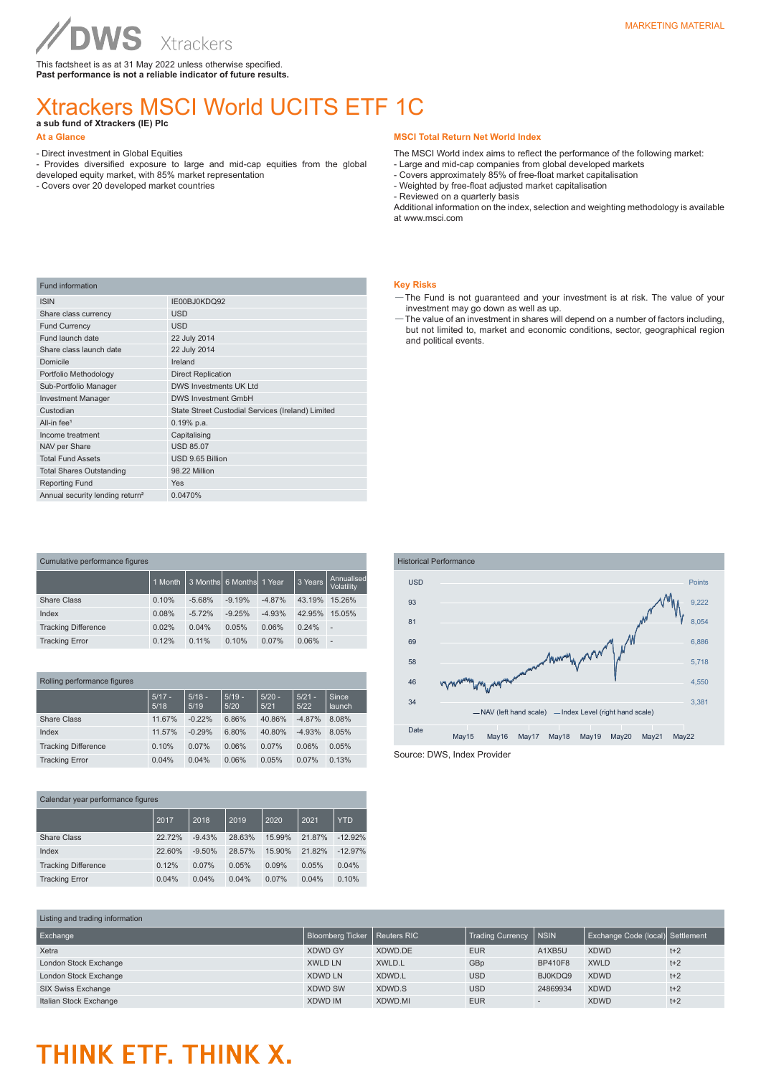This factsheet is as at 31 May 2022 unless otherwise specified. **Past performance is not a reliable indicator of future results.**

### Xtrackers MSCI World UCITS ETF 1C

**a sub fund of Xtrackers (IE) Plc** 

- Direct investment in Global Equities

WS

- Provides diversified exposure to large and mid-cap equities from the global

Xtrackers

developed equity market, with 85% market representation - Covers over 20 developed market countries

#### **MSCI Total Return Net World Index**

The MSCI World index aims to reflect the performance of the following market:

- Large and mid-cap companies from global developed markets
- Covers approximately 85% of free-float market capitalisation - Weighted by free-float adjusted market capitalisation
- Reviewed on a quarterly basis

Additional information on the index, selection and weighting methodology is available at www.msci.com

#### **Key Risks**

- —The Fund is not guaranteed and your investment is at risk. The value of your investment may go down as well as up.
- —The value of an investment in shares will depend on a number of factors including, but not limited to, market and economic conditions, sector, geographical region and political events.

| <b>Fund information</b>                     |                                                   |
|---------------------------------------------|---------------------------------------------------|
| <b>ISIN</b>                                 | IE00BJ0KDQ92                                      |
| Share class currency                        | <b>USD</b>                                        |
| <b>Fund Currency</b>                        | <b>USD</b>                                        |
| Fund launch date                            | 22 July 2014                                      |
| Share class launch date                     | 22 July 2014                                      |
| Domicile                                    | Ireland                                           |
| Portfolio Methodology                       | <b>Direct Replication</b>                         |
| Sub-Portfolio Manager                       | DWS Investments UK Ltd                            |
| <b>Investment Manager</b>                   | <b>DWS Investment GmbH</b>                        |
| Custodian                                   | State Street Custodial Services (Ireland) Limited |
| All-in fee <sup>1</sup>                     | $0.19%$ p.a.                                      |
| Income treatment                            | Capitalising                                      |
| NAV per Share                               | <b>USD 85.07</b>                                  |
| <b>Total Fund Assets</b>                    | USD 9.65 Billion                                  |
| <b>Total Shares Outstanding</b>             | 98.22 Million                                     |
| <b>Reporting Fund</b>                       | <b>Yes</b>                                        |
| Annual security lending return <sup>2</sup> | 0.0470%                                           |
|                                             |                                                   |

| Cumulative performance figures |         |          |                          |          |         |                          |  |
|--------------------------------|---------|----------|--------------------------|----------|---------|--------------------------|--|
|                                | 1 Month |          | 3 Months 6 Months 1 Year |          | 3 Years | Annualised<br>Volatility |  |
| Share Class                    | 0.10%   | $-5.68%$ | $-9.19%$                 | $-4.87%$ | 43.19%  | 15.26%                   |  |
| Index                          | 0.08%   | $-5.72%$ | $-9.25%$                 | $-4.93%$ | 42.95%  | 15.05%                   |  |
| <b>Tracking Difference</b>     | 0.02%   | 0.04%    | 0.05%                    | 0.06%    | 0.24%   | ٠                        |  |
| <b>Tracking Error</b>          | 0.12%   | 0.11%    | 0.10%                    | 0.07%    | 0.06%   | $\overline{\phantom{a}}$ |  |

| Rolling performance figures |  |  |  |
|-----------------------------|--|--|--|
|-----------------------------|--|--|--|

|                            | $5/17 -$<br>5/18 | $5/18 -$<br>5/19 | $5/19 -$<br>5/20 | $5/20 -$<br>5/21 | $5/21 -$<br>5/22 | Since<br>launch |
|----------------------------|------------------|------------------|------------------|------------------|------------------|-----------------|
| <b>Share Class</b>         | 11.67%           | $-0.22%$         | 6.86%            | 40.86%           | $-4.87%$         | 8.08%           |
| Index                      | 11.57%           | $-0.29%$         | 6.80%            | 40.80%           | $-4.93%$         | 8.05%           |
| <b>Tracking Difference</b> | 0.10%            | 0.07%            | 0.06%            | 0.07%            | 0.06%            | 0.05%           |
| <b>Tracking Error</b>      | 0.04%            | 0.04%            | 0.06%            | 0.05%            | 0.07%            | 0.13%           |

| Calendar year performance figures |        |          |        |        |        |            |  |
|-----------------------------------|--------|----------|--------|--------|--------|------------|--|
|                                   | 2017   | 2018     | 2019   | 2020   | 2021   | <b>YTD</b> |  |
| <b>Share Class</b>                | 22.72% | $-9.43%$ | 28.63% | 15.99% | 21.87% | $-12.92%$  |  |
| Index                             | 22.60% | $-9.50%$ | 28.57% | 15.90% | 21.82% | $-12.97%$  |  |
| <b>Tracking Difference</b>        | 0.12%  | 0.07%    | 0.05%  | 0.09%  | 0.05%  | 0.04%      |  |
| <b>Tracking Error</b>             | 0.04%  | 0.04%    | 0.04%  | 0.07%  | 0.04%  | 0.10%      |  |



| Listing and trading information |                  |             |                         |             |                                  |       |  |
|---------------------------------|------------------|-------------|-------------------------|-------------|----------------------------------|-------|--|
| Exchange                        | Bloomberg Ticker | Reuters RIC | <b>Trading Currency</b> | <b>NSIN</b> | Exchange Code (local) Settlement |       |  |
| Xetra                           | <b>XDWD GY</b>   | XDWD.DE     | <b>EUR</b>              | A1XB5U      | <b>XDWD</b>                      | $t+2$ |  |
| London Stock Exchange           | <b>XWLD LN</b>   | XWLD.L      | GBp                     | BP410F8     | <b>XWLD</b>                      | $t+2$ |  |
| London Stock Exchange           | <b>XDWD LN</b>   | XDWD.L      | <b>USD</b>              | BJ0KDQ9     | <b>XDWD</b>                      | $t+2$ |  |
| SIX Swiss Exchange              | <b>XDWD SW</b>   | XDWD.S      | <b>USD</b>              | 24869934    | <b>XDWD</b>                      | $t+2$ |  |
| Italian Stock Exchange          | <b>XDWD IM</b>   | XDWD.MI     | <b>EUR</b>              |             | <b>XDWD</b>                      | $t+2$ |  |

## THINK ETF. THINK X.

**At a Glance**